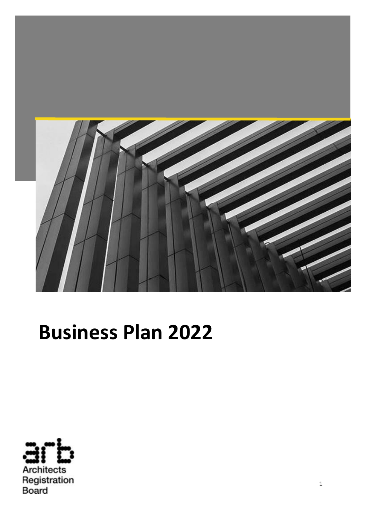

# **Business Plan 2022**

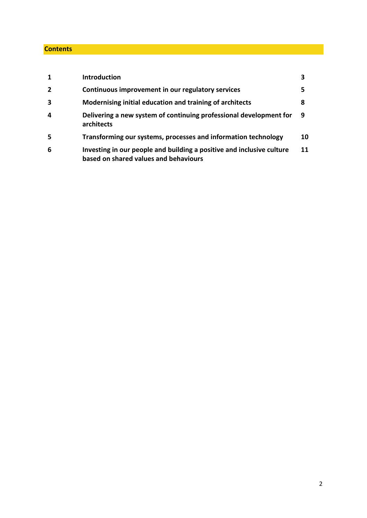# **Contents**

| 1              | <b>Introduction</b>                                                                                            |    |
|----------------|----------------------------------------------------------------------------------------------------------------|----|
| $\overline{2}$ | Continuous improvement in our regulatory services                                                              | 5  |
| 3              | Modernising initial education and training of architects                                                       | 8  |
| 4              | Delivering a new system of continuing professional development for<br>architects                               | 9  |
| 5              | Transforming our systems, processes and information technology                                                 | 10 |
| 6              | Investing in our people and building a positive and inclusive culture<br>based on shared values and behaviours | 11 |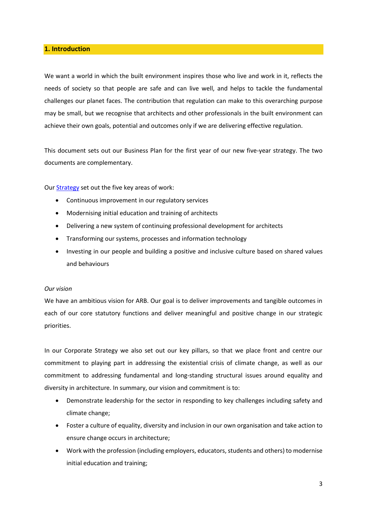# **1. Introduction**

We want a world in which the built environment inspires those who live and work in it, reflects the needs of society so that people are safe and can live well, and helps to tackle the fundamental challenges our planet faces. The contribution that regulation can make to this overarching purpose may be small, but we recognise that architects and other professionals in the built environment can achieve their own goals, potential and outcomes only if we are delivering effective regulation.

This document sets out our Business Plan for the first year of our new five-year strategy. The two documents are complementary.

Our **Strategy** set out the five key areas of work:

- Continuous improvement in our regulatory services
- Modernising initial education and training of architects
- Delivering a new system of continuing professional development for architects
- Transforming our systems, processes and information technology
- Investing in our people and building a positive and inclusive culture based on shared values and behaviours

#### *Our vision*

We have an ambitious vision for ARB. Our goal is to deliver improvements and tangible outcomes in each of our core statutory functions and deliver meaningful and positive change in our strategic priorities.

In our Corporate Strategy we also set out our key pillars, so that we place front and centre our commitment to playing part in addressing the existential crisis of climate change, as well as our commitment to addressing fundamental and long-standing structural issues around equality and diversity in architecture. In summary, our vision and commitment is to:

- Demonstrate leadership for the sector in responding to key challenges including safety and climate change;
- Foster a culture of equality, diversity and inclusion in our own organisation and take action to ensure change occurs in architecture;
- Work with the profession (including employers, educators, students and others) to modernise initial education and training;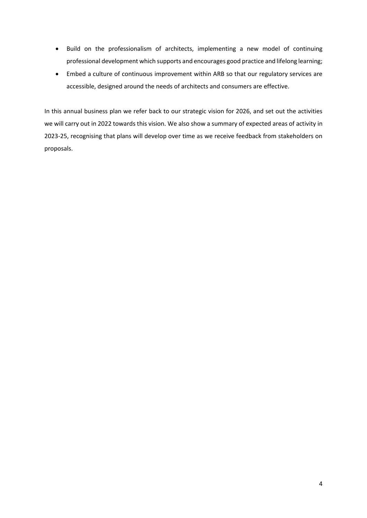- Build on the professionalism of architects, implementing a new model of continuing professional development which supports and encourages good practice and lifelong learning;
- Embed a culture of continuous improvement within ARB so that our regulatory services are accessible, designed around the needs of architects and consumers are effective.

In this annual business plan we refer back to our strategic vision for 2026, and set out the activities we will carry out in 2022 towards this vision. We also show a summary of expected areas of activity in 2023-25, recognising that plans will develop over time as we receive feedback from stakeholders on proposals.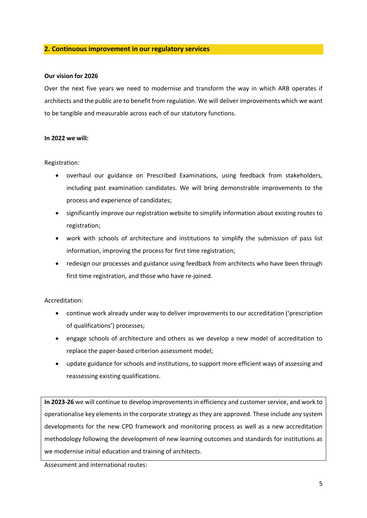# **2. Continuous improvement in our regulatory services**

#### **Our vision for 2026**

Over the next five years we need to modernise and transform the way in which ARB operates if architects and the public are to benefit from regulation. We will deliver improvements which we want to be tangible and measurable across each of our statutory functions.

#### **In 2022 we will:**

#### Registration:

- overhaul our guidance on Prescribed Examinations, using feedback from stakeholders, including past examination candidates. We will bring demonstrable improvements to the process and experience of candidates;
- significantly improve our registration website to simplify information about existing routes to registration;
- work with schools of architecture and institutions to simplify the submission of pass list information, improving the process for first time registration;
- redesign our processes and guidance using feedback from architects who have been through first time registration, and those who have re-joined.

### Accreditation:

- continue work already under way to deliver improvements to our accreditation ('prescription of qualifications') processes;
- engage schools of architecture and others as we develop a new model of accreditation to replace the paper-based criterion assessment model;
- update guidance for schools and institutions, to support more efficient ways of assessing and reassessing existing qualifications.

**In 2023-26** we will continue to develop improvements in efficiency and customer service, and work to operationalise key elements in the corporate strategy as they are approved. These include any system developments for the new CPD framework and monitoring process as well as a new accreditation methodology following the development of new learning outcomes and standards for institutions as we modernise initial education and training of architects.

Assessment and international routes: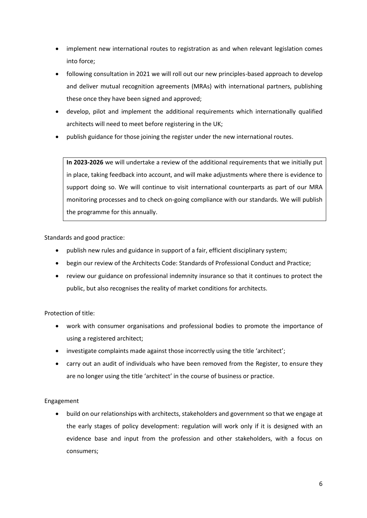- implement new international routes to registration as and when relevant legislation comes into force;
- following consultation in 2021 we will roll out our new principles-based approach to develop and deliver mutual recognition agreements (MRAs) with international partners, publishing these once they have been signed and approved;
- develop, pilot and implement the additional requirements which internationally qualified architects will need to meet before registering in the UK;
- publish guidance for those joining the register under the new international routes.

**In 2023-2026** we will undertake a review of the additional requirements that we initially put in place, taking feedback into account, and will make adjustments where there is evidence to support doing so. We will continue to visit international counterparts as part of our MRA monitoring processes and to check on-going compliance with our standards. We will publish the programme for this annually.

Standards and good practice:

- publish new rules and guidance in support of a fair, efficient disciplinary system;
- begin our review of the Architects Code: Standards of Professional Conduct and Practice;
- review our guidance on professional indemnity insurance so that it continues to protect the public, but also recognises the reality of market conditions for architects.

Protection of title:

- work with consumer organisations and professional bodies to promote the importance of using a registered architect;
- investigate complaints made against those incorrectly using the title 'architect';
- carry out an audit of individuals who have been removed from the Register, to ensure they are no longer using the title 'architect' in the course of business or practice.

Engagement

• build on our relationships with architects, stakeholders and government so that we engage at the early stages of policy development: regulation will work only if it is designed with an evidence base and input from the profession and other stakeholders, with a focus on consumers;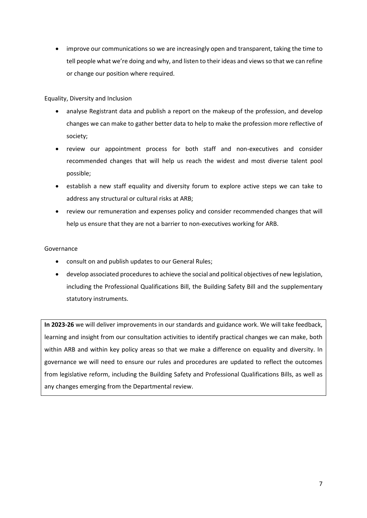• improve our communications so we are increasingly open and transparent, taking the time to tell people what we're doing and why, and listen to their ideas and views so that we can refine or change our position where required.

Equality, Diversity and Inclusion

- analyse Registrant data and publish a report on the makeup of the profession, and develop changes we can make to gather better data to help to make the profession more reflective of society;
- review our appointment process for both staff and non-executives and consider recommended changes that will help us reach the widest and most diverse talent pool possible;
- establish a new staff equality and diversity forum to explore active steps we can take to address any structural or cultural risks at ARB;
- review our remuneration and expenses policy and consider recommended changes that will help us ensure that they are not a barrier to non-executives working for ARB.

# Governance

- consult on and publish updates to our General Rules;
- develop associated procedures to achieve the social and political objectives of new legislation, including the Professional Qualifications Bill, the Building Safety Bill and the supplementary statutory instruments.

**In 2023-26** we will deliver improvements in our standards and guidance work. We will take feedback, learning and insight from our consultation activities to identify practical changes we can make, both within ARB and within key policy areas so that we make a difference on equality and diversity. In governance we will need to ensure our rules and procedures are updated to reflect the outcomes from legislative reform, including the Building Safety and Professional Qualifications Bills, as well as any changes emerging from the Departmental review.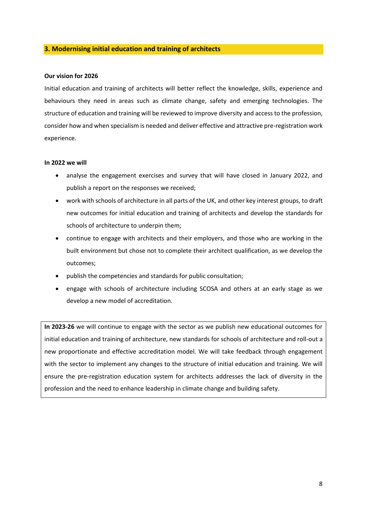## **3. Modernising initial education and training of architects**

#### **Our vision for 2026**

Initial education and training of architects will better reflect the knowledge, skills, experience and behaviours they need in areas such as climate change, safety and emerging technologies. The structure of education and training will be reviewed to improve diversity and access to the profession, consider how and when specialism is needed and deliver effective and attractive pre-registration work experience.

#### **In 2022 we will**

- analyse the engagement exercises and survey that will have closed in January 2022, and publish a report on the responses we received;
- work with schools of architecture in all parts of the UK, and other key interest groups, to draft new outcomes for initial education and training of architects and develop the standards for schools of architecture to underpin them;
- continue to engage with architects and their employers, and those who are working in the built environment but chose not to complete their architect qualification, as we develop the outcomes;
- publish the competencies and standards for public consultation;
- engage with schools of architecture including SCOSA and others at an early stage as we develop a new model of accreditation.

**In 2023-26** we will continue to engage with the sector as we publish new educational outcomes for initial education and training of architecture, new standards for schools of architecture and roll-out a new proportionate and effective accreditation model. We will take feedback through engagement with the sector to implement any changes to the structure of initial education and training. We will ensure the pre-registration education system for architects addresses the lack of diversity in the profession and the need to enhance leadership in climate change and building safety.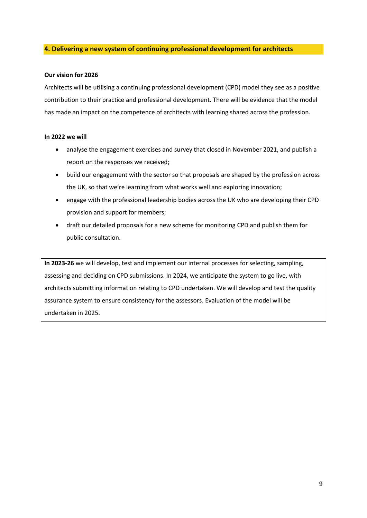# **4. Delivering a new system of continuing professional development for architects**

#### **Our vision for 2026**

Architects will be utilising a continuing professional development (CPD) model they see as a positive contribution to their practice and professional development. There will be evidence that the model has made an impact on the competence of architects with learning shared across the profession.

#### **In 2022 we will**

- analyse the engagement exercises and survey that closed in November 2021, and publish a report on the responses we received;
- build our engagement with the sector so that proposals are shaped by the profession across the UK, so that we're learning from what works well and exploring innovation;
- engage with the professional leadership bodies across the UK who are developing their CPD provision and support for members;
- draft our detailed proposals for a new scheme for monitoring CPD and publish them for public consultation.

**In 2023-26** we will develop, test and implement our internal processes for selecting, sampling, assessing and deciding on CPD submissions. In 2024, we anticipate the system to go live, with architects submitting information relating to CPD undertaken. We will develop and test the quality assurance system to ensure consistency for the assessors. Evaluation of the model will be undertaken in 2025.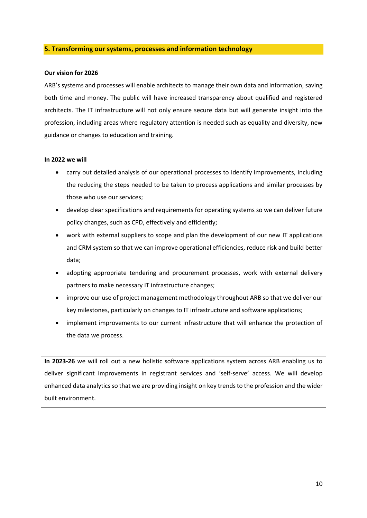#### **5. Transforming our systems, processes and information technology**

#### **Our vision for 2026**

ARB's systems and processes will enable architects to manage their own data and information, saving both time and money. The public will have increased transparency about qualified and registered architects. The IT infrastructure will not only ensure secure data but will generate insight into the profession, including areas where regulatory attention is needed such as equality and diversity, new guidance or changes to education and training.

#### **In 2022 we will**

- carry out detailed analysis of our operational processes to identify improvements, including the reducing the steps needed to be taken to process applications and similar processes by those who use our services;
- develop clear specifications and requirements for operating systems so we can deliver future policy changes, such as CPD, effectively and efficiently;
- work with external suppliers to scope and plan the development of our new IT applications and CRM system so that we can improve operational efficiencies, reduce risk and build better data;
- adopting appropriate tendering and procurement processes, work with external delivery partners to make necessary IT infrastructure changes;
- improve our use of project management methodology throughout ARB so that we deliver our key milestones, particularly on changes to IT infrastructure and software applications;
- implement improvements to our current infrastructure that will enhance the protection of the data we process.

**In 2023-26** we will roll out a new holistic software applications system across ARB enabling us to deliver significant improvements in registrant services and 'self-serve' access. We will develop enhanced data analytics so that we are providing insight on key trends to the profession and the wider built environment.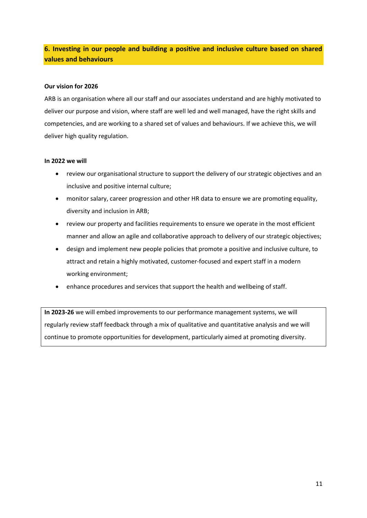# **6. Investing in our people and building a positive and inclusive culture based on shared values and behaviours**

## **Our vision for 2026**

ARB is an organisation where all our staff and our associates understand and are highly motivated to deliver our purpose and vision, where staff are well led and well managed, have the right skills and competencies, and are working to a shared set of values and behaviours. If we achieve this, we will deliver high quality regulation.

### **In 2022 we will**

- review our organisational structure to support the delivery of our strategic objectives and an inclusive and positive internal culture;
- monitor salary, career progression and other HR data to ensure we are promoting equality, diversity and inclusion in ARB;
- review our property and facilities requirements to ensure we operate in the most efficient manner and allow an agile and collaborative approach to delivery of our strategic objectives;
- design and implement new people policies that promote a positive and inclusive culture, to attract and retain a highly motivated, customer-focused and expert staff in a modern working environment;
- enhance procedures and services that support the health and wellbeing of staff.

**In 2023-26** we will embed improvements to our performance management systems, we will regularly review staff feedback through a mix of qualitative and quantitative analysis and we will continue to promote opportunities for development, particularly aimed at promoting diversity.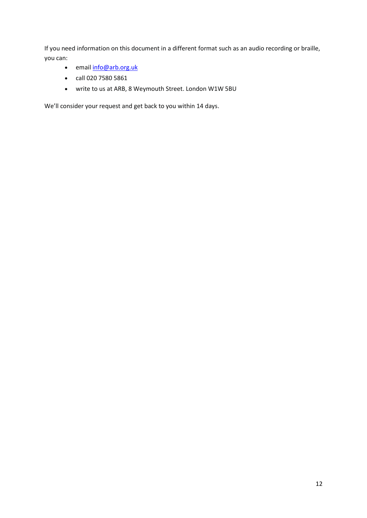If you need information on this document in a different format such as an audio recording or braille, you can:

- email **info@arb.org.uk**
- call 020 7580 5861
- write to us at ARB, 8 Weymouth Street. London W1W 5BU

We'll consider your request and get back to you within 14 days.